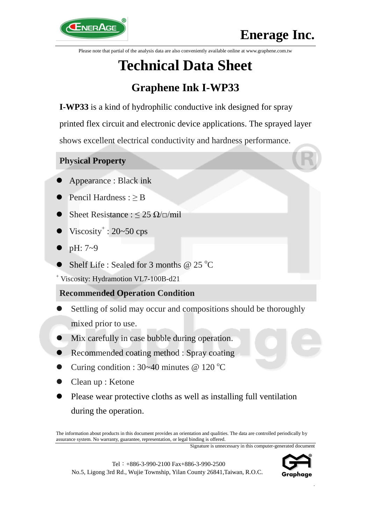

Please note that partial of the analysis data are also conveniently available online at www.graphene.com.tw

# **Technical Data Sheet**

# **Graphene Ink I-WP33**

**I-WP33** is a kind of hydrophilic conductive ink designed for spray printed flex circuit and electronic device applications. The sprayed layer shows excellent electrical conductivity and hardness performance.

# **Physical Property**

- Appearance : Black ink
- Pencil Hardness :  $\geq$  B
- Sheet Resistance :  $\leq$  25  $\Omega/\square/\text{mil}$
- $\bullet$  Viscosity<sup>+</sup>: 20~50 cps
- pH: 7~9
- Shelf Life : Sealed for 3 months @  $25^{\circ}$ C

<sup>+</sup> Viscosity: Hydramotion VL7-100B-d21

# **Recommended Operation Condition**

- Settling of solid may occur and compositions should be thoroughly mixed prior to use.
- Mix carefully in case bubble during operation.
- Recommended coating method : Spray coating
- Curing condition :  $30-40$  minutes @ 120 °C
- Clean up : Ketone
- Please wear protective cloths as well as installing full ventilation during the operation.

The information about products in this document provides an orientation and qualities. The data are controlled periodically by assurance system. No warranty, guarantee, representation, or legal binding is offered.

Signature is unnecessary in this computer-generated document





.